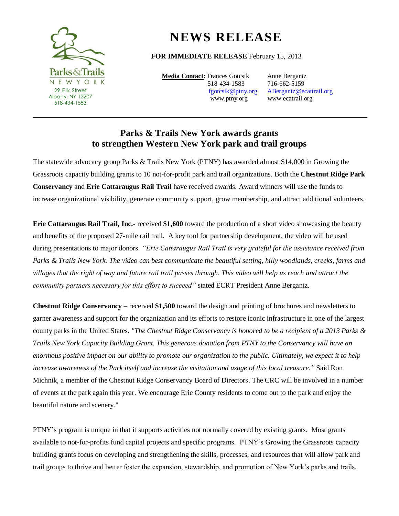

## **NEWS RELEASE**

## **FOR IMMEDIATE RELEASE** February 15, 2013

**Media Contact:** Frances Gotcsik Anne Bergantz 518-434-1583 716-662-5159

 [fgotcsik@ptny.org](mailto:fgotcsik@ptny.org) [ABergantz@ecattrail.org](mailto:ABergantz@ecattrail.org) www.ptny.orgwww.ecatrail.org

## **Parks & Trails New York awards grants to strengthen Western New York park and trail groups**

The statewide advocacy group Parks & Trails New York (PTNY) has awarded almost \$14,000 in Growing the Grassroots capacity building grants to 10 not-for-profit park and trail organizations. Both the **Chestnut Ridge Park Conservancy** and **Erie Cattaraugus Rail Trail** have received awards. Award winners will use the funds to increase organizational visibility, generate community support, grow membership, and attract additional volunteers.

**Erie Cattaraugus Rail Trail, Inc.**- received **\$1,600** toward the production of a short video showcasing the beauty and benefits of the proposed 27-mile rail trail. A key tool for partnership development, the video will be used during presentations to major donors. *"Erie Cattaraugus Rail Trail is very grateful for the assistance received from Parks & Trails New York. The video can best communicate the beautiful setting, hilly woodlands, creeks, farms and villages that the right of way and future rail trail passes through. This video will help us reach and attract the community partners necessary for this effort to succeed"* stated ECRT President Anne Bergantz.

**Chestnut Ridge Conservancy –** received **\$1,500** toward the design and printing of brochures and newsletters to garner awareness and support for the organization and its efforts to restore iconic infrastructure in one of the largest county parks in the United States. *"The Chestnut Ridge Conservancy is honored to be a recipient of a 2013 Parks & Trails New York Capacity Building Grant. This generous donation from PTNY to the Conservancy will have an enormous positive impact on our ability to promote our organization to the public. Ultimately, we expect it to help increase awareness of the Park itself and increase the visitation and usage of this local treasure."* Said Ron Michnik, a member of the Chestnut Ridge Conservancy Board of Directors. The CRC will be involved in a number of events at the park again this year. We encourage Erie County residents to come out to the park and enjoy the beautiful nature and scenery."

PTNY's program is unique in that it supports activities not normally covered by existing grants. Most grants available to not-for-profits fund capital projects and specific programs. PTNY's Growing the Grassroots capacity building grants focus on developing and strengthening the skills, processes, and resources that will allow park and trail groups to thrive and better foster the expansion, stewardship, and promotion of New York's parks and trails.